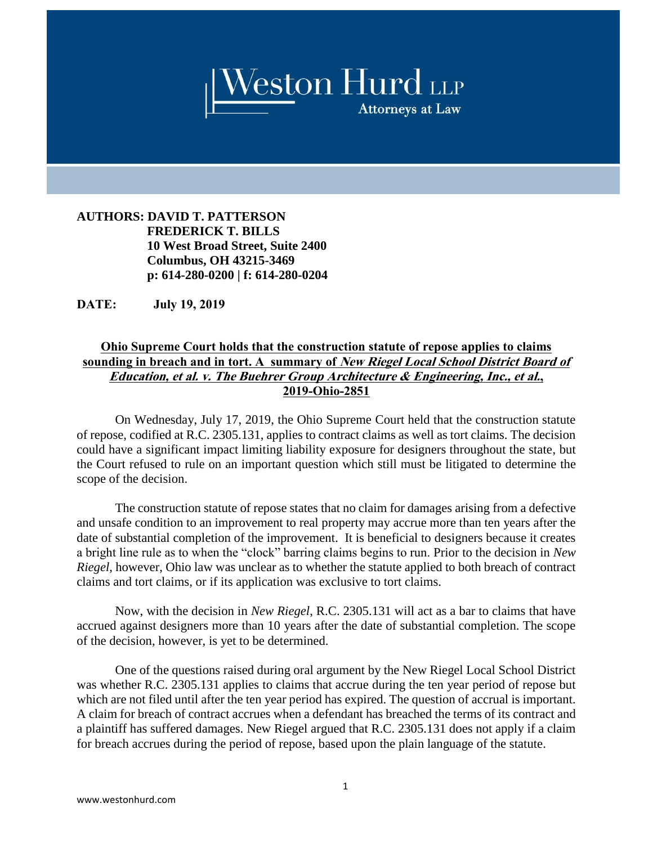

**AUTHORS: DAVID T. PATTERSON FREDERICK T. BILLS 10 West Broad Street, Suite 2400 Columbus, OH 43215-3469 p: 614-280-0200 | f: 614-280-0204**

**DATE: July 19, 2019**

## **Ohio Supreme Court holds that the construction statute of repose applies to claims sounding in breach and in tort. A summary of New Riegel Local School District Board of Education, et al. v. The Buehrer Group Architecture & Engineering, Inc., et al., 2019-Ohio-2851**

On Wednesday, July 17, 2019, the Ohio Supreme Court held that the construction statute of repose, codified at R.C. 2305.131, applies to contract claims as well as tort claims. The decision could have a significant impact limiting liability exposure for designers throughout the state, but the Court refused to rule on an important question which still must be litigated to determine the scope of the decision.

The construction statute of repose states that no claim for damages arising from a defective and unsafe condition to an improvement to real property may accrue more than ten years after the date of substantial completion of the improvement. It is beneficial to designers because it creates a bright line rule as to when the "clock" barring claims begins to run. Prior to the decision in *New Riegel*, however, Ohio law was unclear as to whether the statute applied to both breach of contract claims and tort claims, or if its application was exclusive to tort claims.

Now, with the decision in *New Riegel*, R.C. 2305.131 will act as a bar to claims that have accrued against designers more than 10 years after the date of substantial completion. The scope of the decision, however, is yet to be determined.

One of the questions raised during oral argument by the New Riegel Local School District was whether R.C. 2305.131 applies to claims that accrue during the ten year period of repose but which are not filed until after the ten year period has expired. The question of accrual is important. A claim for breach of contract accrues when a defendant has breached the terms of its contract and a plaintiff has suffered damages. New Riegel argued that R.C. 2305.131 does not apply if a claim for breach accrues during the period of repose, based upon the plain language of the statute.